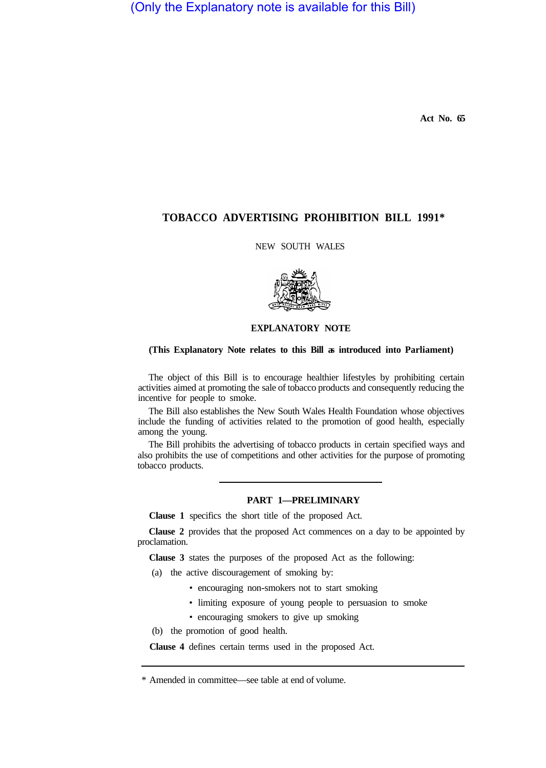(Only the Explanatory note is available for this Bill)

**Act No. 65** 

# **TOBACCO ADVERTISING PROHIBITION BILL 1991\***

### NEW SOUTH WALES



# **EXPLANATORY NOTE**

### **(This Explanatory Note relates to this Bill as introduced into Parliament)**

The object of this Bill is to encourage healthier lifestyles by prohibiting certain activities aimed at promoting the sale of tobacco products and consequently reducing the incentive for people to smoke.

The Bill also establishes the New South Wales Health Foundation whose objectives include the funding of activities related to the promotion of good health, especially among the young.

The Bill prohibits the advertising of tobacco products in certain specified ways and also prohibits the use of competitions and other activities for the purpose of promoting tobacco products.

### **PART 1—PRELIMINARY**

**Clause 1** specifics the short title of the proposed Act.

**Clause 2** provides that the proposed Act commences on a day to be appointed by proclamation.

**Clause 3** states the purposes of the proposed Act as the following:

- (a) the active discouragement of smoking by:
	- encouraging non-smokers not to start smoking
	- limiting exposure of young people to persuasion to smoke
	- encouraging smokers to give up smoking
- (b) the promotion of good health.

**Clause 4** defines certain terms used in the proposed Act.

<sup>\*</sup> Amended in committee—see table at end of volume.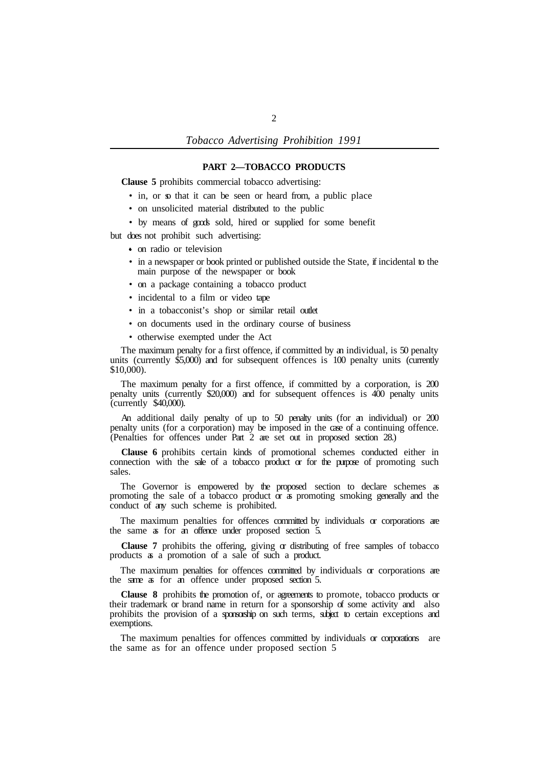# **PART 2—TOBACCO PRODUCTS**

**Clause 5** prohibits commercial tobacco advertising:

- in, or so that it can be seen or heard from, a public place
- on unsolicited material distributed to the public
- by means of goods sold, hired or supplied for some benefit

but does not prohibit such advertising:

- on radio or television
- in a newspaper or book printed or published outside the State, if incidental to the main purpose of the newspaper or book
- on a package containing a tobacco product
- incidental to a film or video tape
- in a tobacconist's shop or similar retail outlet
- on documents used in the ordinary course of business
- otherwise exempted under the Act

The maximum penalty for a first offence, if committed by an individual, is 50 penalty units (currently \$5,000) and for subsequent offences is 100 penalty units (currently \$10,000).

The maximum penalty for a first offence, if committed by a corporation, is 200 penalty units (currently \$20,000) and for subsequent offences is 400 penalty units (currently \$40,000).

An additional daily penalty of up to 50 penalty units (for an individual) or 200 penalty units (for a corporation) may be imposed in the case of a continuing offence. (Penalties for offences under Part 2 are set out in proposed section 28.)

**Clause 6** prohibits certain kinds of promotional schemes conducted either in connection with the sale of a tobacco product or for the purpose of promoting such sales.

The Governor is empowered by the proposed section to declare schemes as promoting the sale of a tobacco product or as promoting smoking generally and the conduct of any such scheme is prohibited.

the same as for an offence under proposed section 5. The maximum penalties for offences committed by individuals or corporations are

products as a promotion of a sale of such a product. **Clause 7** prohibits the offering, giving or distributing of free samples of tobacco

the same as for an offence under proposed section 5. The maximum penalties for offences committed by individuals or corporations are

**Clause 8** prohibits the promotion of, or agreements to promote, tobacco products or their trademark or brand name in return for a sponsorship of some activity and also prohibits the provision of a sponsorship on such terms, subject to certain exceptions and exemptions.

The maximum penalties for offences committed by individuals or corporations are the same as for an offence under proposed section 5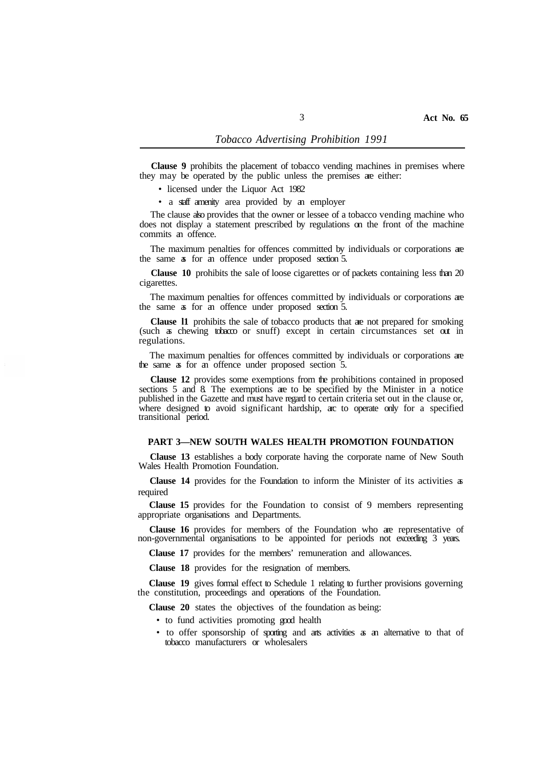**Clause 9** prohibits the placement of tobacco vending machines in premises where they may be operated by the public unless the premises are either:

• licensed under the Liquor Act 1982

• a staff amenity area provided by an employer

The clause also provides that the owner or lessee of a tobacco vending machine who does not display a statement prescribed by regulations on the front of the machine commits an offence.

The maximum penalties for offences committed by individuals or corporations are the same as for an offence under proposed section 5.

**Clause 10** prohibits the sale of loose cigarettes or of packets containing less than 20 cigarettes.

The maximum penalties for offences committed by individuals or corporations are the same as for an offence under proposed section 5.

**Clause l1** prohibits the sale of tobacco products that are not prepared for smoking (such as chewing tobacco or snuff) except in certain circumstances set out in regulations.

The maximum penalties for offences committed by individuals or corporations are the same as for an offence under proposed section 5.

**Clause 12** provides some exemptions from the prohibitions contained in proposed sections 5 and 8. The exemptions are to be specified by the Minister in a notice published in the Gazette and must have regard to certain criteria set out in the clause or, where designed to avoid significant hardship, arc to operate only for a specified transitional period.

#### **PART 3—NEW SOUTH WALES HEALTH PROMOTION FOUNDATION**

**Clause 13** establishes a body corporate having the corporate name of New South Wales Health Promotion Foundation.

**Clause 14** provides for the Foundation to inform the Minister of its activities as required

**Clause 15** provides for the Foundation to consist of 9 members representing appropriate organisations and Departments.

**Clause 16** provides for members of the Foundation who are representative of non-governmental organisations to be appointed for periods not exceeding 3 years.

**Clause 17** provides for the members' remuneration and allowances.

**Clause 18** provides for the resignation of members.

**Clause 19** gives formal effect to Schedule 1 relating to further provisions governing the constitution, proceedings and operations of the Foundation.

**Clause 20** states the objectives of the foundation as being:

- to fund activities promoting good health
- to offer sponsorship of sporting and arts activities as an alternative to that of tobacco manufacturers or wholesalers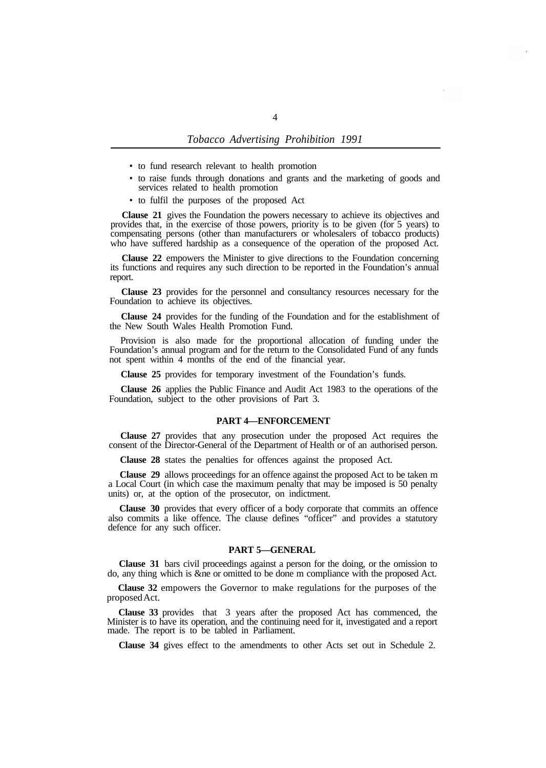- to fund research relevant to health promotion
- to raise funds through donations and grants and the marketing of goods and services related to health promotion
- to fulfil the purposes of the proposed Act

**Clause 21** gives the Foundation the powers necessary to achieve its objectives and provides that, in the exercise of those powers, priority is to be given (for 5 years) to compensating persons (other than manufacturers or wholesalers of tobacco products) who have suffered hardship as a consequence of the operation of the proposed Act.

**Clause 22** empowers the Minister to give directions to the Foundation concerning its functions and requires any such direction to be reported in the Foundation's annual report.

**Clause 23** provides for the personnel and consultancy resources necessary for the Foundation to achieve its objectives.

**Clause 24** provides for the funding of the Foundation and for the establishment of the New South Wales Health Promotion Fund.

Provision is also made for the proportional allocation of funding under the Foundation's annual program and for the return to the Consolidated Fund of any funds not spent within 4 months of the end of the financial year.

**Clause 25** provides for temporary investment of the Foundation's funds.

**Clause 26** applies the Public Finance and Audit Act 1983 to the operations of the Foundation, subject to the other provisions of Part 3.

#### **PART 4—ENFORCEMENT**

**Clause 27** provides that any prosecution under the proposed Act requires the consent of the Director-General of the Department of Health or of an authorised person.

**Clause 28** states the penalties for offences against the proposed Act.

**Clause 29** allows proceedings for an offence against the proposed Act to be taken m a Local Court (in which case the maximum penalty that may be imposed is 50 penalty units) or, at the option of the prosecutor, on indictment.

**Clause 30** provides that every officer of a body corporate that commits an offence also commits a like offence. The clause defines "officer" and provides a statutory defence for any such officer.

#### **PART 5—GENERAL**

**Clause 31** bars civil proceedings against a person for the doing, or the omission to do, any thing which is &ne or omitted to be done m compliance with the proposed Act.

**Clause 32** empowers the Governor to make regulations for the purposes of the proposed Act.

**Clause 33** provides that 3 years after the proposed Act has commenced, the Minister is to have its operation, and the continuing need for it, investigated and a report made. The report is to be tabled in Parliament.

**Clause 34** gives effect to the amendments to other Acts set out in Schedule 2.